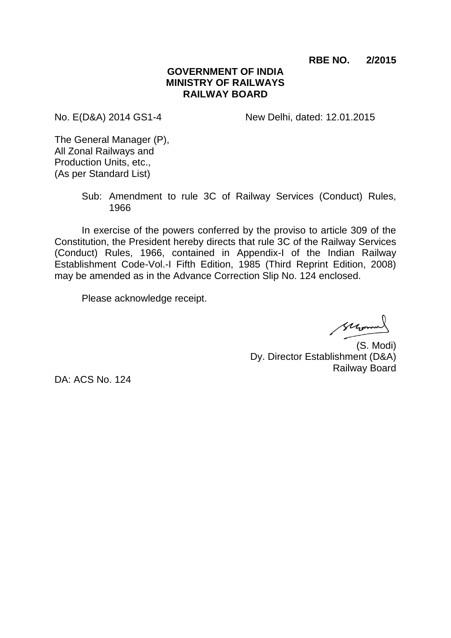**RBE NO. 2/2015**

## **GOVERNMENT OF INDIA MINISTRY OF RAILWAYS RAILWAY BOARD**

No. E(D&A) 2014 GS1-4 New Delhi, dated: 12.01.2015

The General Manager (P), All Zonal Railways and Production Units, etc., (As per Standard List)

> Sub: Amendment to rule 3C of Railway Services (Conduct) Rules, 1966

In exercise of the powers conferred by the proviso to article 309 of the Constitution, the President hereby directs that rule 3C of the Railway Services (Conduct) Rules, 1966, contained in Appendix-I of the Indian Railway Establishment Code-Vol.-I Fifth Edition, 1985 (Third Reprint Edition, 2008) may be amended as in the Advance Correction Slip No. 124 enclosed.

Please acknowledge receipt.

Morro

(S. Modi) Dy. Director Establishment (D&A) Railway Board

DA: ACS No. 124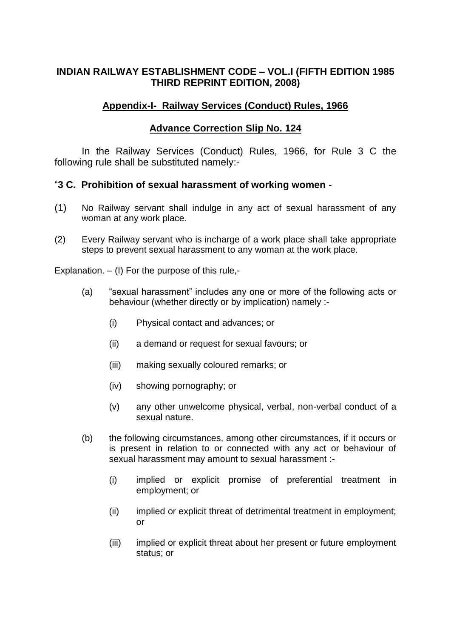# **INDIAN RAILWAY ESTABLISHMENT CODE – VOL.I (FIFTH EDITION 1985 THIRD REPRINT EDITION, 2008)**

## **Appendix-I- Railway Services (Conduct) Rules, 1966**

# **Advance Correction Slip No. 124**

In the Railway Services (Conduct) Rules, 1966, for Rule 3 C the following rule shall be substituted namely:-

## "**3 C. Prohibition of sexual harassment of working women** -

- (1) No Railway servant shall indulge in any act of sexual harassment of any woman at any work place.
- (2) Every Railway servant who is incharge of a work place shall take appropriate steps to prevent sexual harassment to any woman at the work place.

Explanation. – (I) For the purpose of this rule,-

- (a) "sexual harassment" includes any one or more of the following acts or behaviour (whether directly or by implication) namely :-
	- (i) Physical contact and advances; or
	- (ii) a demand or request for sexual favours; or
	- (iii) making sexually coloured remarks; or
	- (iv) showing pornography; or
	- (v) any other unwelcome physical, verbal, non-verbal conduct of a sexual nature.
- (b) the following circumstances, among other circumstances, if it occurs or is present in relation to or connected with any act or behaviour of sexual harassment may amount to sexual harassment :-
	- (i) implied or explicit promise of preferential treatment in employment; or
	- (ii) implied or explicit threat of detrimental treatment in employment; or
	- (iii) implied or explicit threat about her present or future employment status; or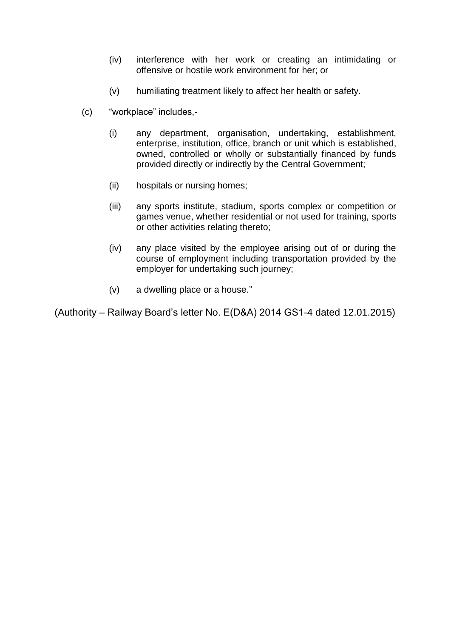- (iv) interference with her work or creating an intimidating or offensive or hostile work environment for her; or
- (v) humiliating treatment likely to affect her health or safety.
- (c) "workplace" includes,-
	- (i) any department, organisation, undertaking, establishment, enterprise, institution, office, branch or unit which is established, owned, controlled or wholly or substantially financed by funds provided directly or indirectly by the Central Government;
	- (ii) hospitals or nursing homes;
	- (iii) any sports institute, stadium, sports complex or competition or games venue, whether residential or not used for training, sports or other activities relating thereto;
	- (iv) any place visited by the employee arising out of or during the course of employment including transportation provided by the employer for undertaking such journey;
	- (v) a dwelling place or a house."

(Authority – Railway Board's letter No. E(D&A) 2014 GS1-4 dated 12.01.2015)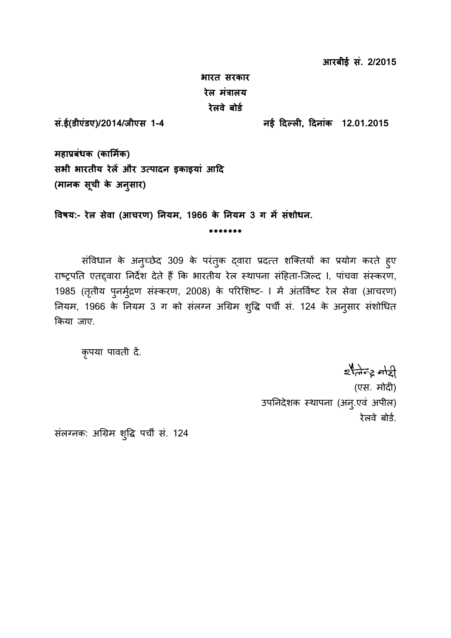**आरबीई सं. 2/2015**

**भारत सरकार रेल मंत्रालय रेलवे बोर्ड**

**सं.ई(र्ीएंर्ए)/2014/जीएस 1-4 नई दिल ली2, दिनांक 12.01.2015**

**महाप्रबंधक (कार्मडक) सभी भारतीय रेलें और उत पािन ाकाायां आदि (मानक सूची के अनुसार)**

**ववषय:- रेल सेवा (आचरण) ननयम, 1966 के ननयम 3 ग में संशोधन.**

संविधान के अनुच्छेद 309 के परंतुक द्वारा प्रदत्त शक्तियों का प्रयोग करते हुए राष्ट्रपति एतद्दवारा निर्देश देते हैं कि भारतीय रेल स्थापना संहिता-जिल्द I, पांचवा संस्करण, 1985 (तृतीय पुनर्मुद्रण संस्करण, 2008) के परिशिष्ट- । में अंतर्विष्ट रेल सेवा (आचरण) नियम, 1966 के नियम 3 ग को संलग्न अग्रिम शुद्धि पर्ची सं. 124 के अनुसार संशोधित किया जाए.

**\*\*\*\*\*\*\***

कृपया पावती दें.

 $z$ tato a  $z$ (एस. मोदी) उपनिदेशक स्थापना (अन्. एवं अपील) रेलवे बोर्ड.

संलग्नक: अग्रिम शुद्धि पर्ची सं. 124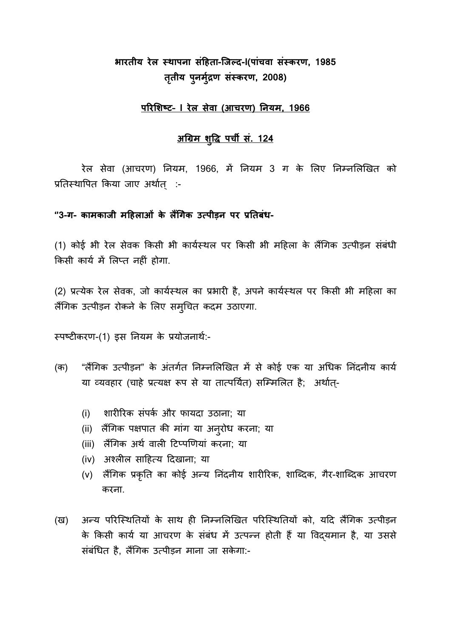# **भारतीय रेल स् ाापना संदहता-जजल ि-I(पांचवा संस् करण, 1985 ततृ ीय पुनमुद्रड ण संस्करण, 2008)**

### **पररर्शष् न– I रेल सेवा (आचरण) ननयम, 1966**

## **अग्रिम शुवि पची सं. 124**

रेल सेवा (आचरण) नियम, 1966, में नियम 3 ग के लिए निम्नलिखित को प्रतिस्थापित किया जाए अर्थात् :-

### **''3-ग- कामकाजी मदहलाओं के लैंग्रगेक उत पीड़न न पर प्रनतबंध-**

(1) कोई भी रेल सेवक किसी भी कार्यस्थल पर किसी भी महिला के लैंगिक उत्पीड़न संबंधी किसी कार्य में लिप्त नहीं होगा.

(2) प्रत्येक रेल सेवक, जो कार्यस्थल का प्रभारी है, अपने कार्यस्थल पर किसी भी महिला का लैंगिक उत्पीड़न रोकने के लिए सम्चित कदम उठाएगा.

स्पष्टीकरण-(1) इस नियम के प्रयोजनार्थ:-

- (क) "लैंगिक उत्पीड़न" के अंतर्गत निम्नलिखित में से कोई एक या अधिक निंदनीय कार्य या व्यवहार (चाहे प्रत्यक्ष रूप से या तात्पर्यित) सम्मिलित है; अर्थात्-
	- (i) शारीरिक संपर्क और फायदा उठाना; या
	- (ii) लैंगिक पक्षपात की मांग या अनुरोध करना; या
	- (iii) लैंगिक अर्थ वाली टिप्पणियां करना; या
	- (iv) अश्लील साहित्य दिखाना; या
	- (v) लैंगिक प्रकृति का कोई अन्य निंदनीय शारीरिक, शाब्दिक, गैर-शाब्दिक आचरण करना.
- (ख) अन्य परिस्थितियों के साथ ही निम्नलिखित परिस्थितियों को, यदि लैंगिक उत्पीड़न के किसी कार्य या आचरण के संबंध में उत्पन्न होती हैं या विदयमान है, या उससे संबंधित है, लैंगिक उत्पीड़न माना जा सकेगा:-